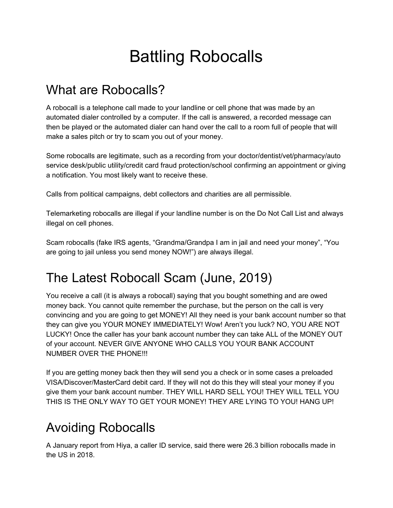# Battling Robocalls

### What are Robocalls?

A robocall is a telephone call made to your landline or cell phone that was made by an automated dialer controlled by a computer. If the call is answered, a recorded message can then be played or the automated dialer can hand over the call to a room full of people that will make a sales pitch or try to scam you out of your money.

Some robocalls are legitimate, such as a recording from your doctor/dentist/vet/pharmacy/auto service desk/public utility/credit card fraud protection/school confirming an appointment or giving a notification. You most likely want to receive these.

Calls from political campaigns, debt collectors and charities are all permissible.

Telemarketing robocalls are illegal if your landline number is on the Do Not Call List and always illegal on cell phones.

Scam robocalls (fake IRS agents, "Grandma/Grandpa I am in jail and need your money", "You are going to jail unless you send money NOW!") are always illegal.

# The Latest Robocall Scam (June, 2019)

You receive a call (it is always a robocall) saying that you bought something and are owed money back. You cannot quite remember the purchase, but the person on the call is very convincing and you are going to get MONEY! All they need is your bank account number so that they can give you YOUR MONEY IMMEDIATELY! Wow! Aren't you luck? NO, YOU ARE NOT LUCKY! Once the caller has your bank account number they can take ALL of the MONEY OUT of your account. NEVER GIVE ANYONE WHO CALLS YOU YOUR BANK ACCOUNT NUMBER OVER THE PHONE!!!

If you are getting money back then they will send you a check or in some cases a preloaded VISA/Discover/MasterCard debit card. If they will not do this they will steal your money if you give them your bank account number. THEY WILL HARD SELL YOU! THEY WILL TELL YOU THIS IS THE ONLY WAY TO GET YOUR MONEY! THEY ARE LYING TO YOU! HANG UP!

## Avoiding Robocalls

A January report from Hiya, a caller ID service, said there were 26.3 billion robocalls made in the US in 2018.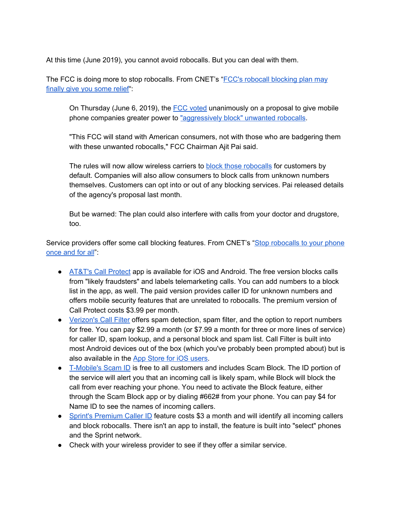At this time (June 2019), you cannot avoid robocalls. But you can deal with them.

The FCC is doing more to stop robocalls. From CNET's "FCC's robocall [blocking](https://www.cnet.com/news/fcc-robocall-blocking-plan-may-finally-give-you-some-relief/?ftag=CAD1acfa04&bhid=20953718937691793500397110453451) plan may [finally](https://www.cnet.com/news/fcc-robocall-blocking-plan-may-finally-give-you-some-relief/?ftag=CAD1acfa04&bhid=20953718937691793500397110453451) give you some relief"

On Thursday (June 6, 2019), the FCC [voted](https://docs.fcc.gov/public/attachments/DOC-357852A1.pdf) unanimously on a proposal to give mobile phone companies greater power to ["aggressively](https://www.cnet.com/news/fccs-ajit-pai-wants-to-give-phone-companies-more-power-to-block-robocalls/) block" unwanted robocalls.

"This [FCC](https://www.cnet.com/tags/fcc/) will stand with American consumers, not with those who are badgering them with these unwanted robocalls," FCC Chairman Ajit Pai said.

The rules will now allow wireless carriers to **block those [robocalls](https://docs.fcc.gov/public/attachments/DOC-357464A1.pdf#link=%7B%22role%22:%22standard%22,%22href%22:%22https://docs.fcc.gov/public/attachments/DOC-357464A1.pdf%22,%22target%22:%22%22,%22absolute%22:%22%22,%22linkText%22:%22block%20those%20robocalls%22%7D)** for customers by default. Companies will also allow consumers to block calls from unknown numbers themselves. Customers can opt into or out of any blocking services. Pai released details of the agency's proposal last month.

But be warned: The plan could also interfere with calls from your doctor and drugstore, too.

Service providers offer some call blocking features. From CNET's "Stop [robocalls](https://www.cnet.com/how-to/stop-robocalls-to-your-android-iphone-once-and-for-all/?ftag=CAD1acfa04&bhid=20953718937691793500397110453451) to your phone [once](https://www.cnet.com/how-to/stop-robocalls-to-your-android-iphone-once-and-for-all/?ftag=CAD1acfa04&bhid=20953718937691793500397110453451) and for all":

- [AT&T's](https://www.att.com/features/security-apps.html) Call Protect app is available for iOS and Android. The free version blocks calls from "likely fraudsters" and labels telemarketing calls. You can add numbers to a block list in the app, as well. The paid version provides caller ID for unknown numbers and offers mobile security features that are unrelated to robocalls. The premium version of Call Protect costs \$3.99 per month.
- [Verizon's](https://www.verizonwireless.com/solutions-and-services/call-filter/) Call Filter offers spam detection, spam filter, and the option to report numbers for free. You can pay \$2.99 a month (or \$7.99 a month for three or more lines of service) for caller ID, spam lookup, and a personal block and spam list. Call Filter is built into most Android devices out of the box (which you've probably been prompted about) but is also available in the App Store for iOS [users.](https://apps.apple.com/us/app/verizon-caller-name-id/id777875529)
- [T-Mobile's](https://www.t-mobile.com/resources/call-protection) Scam ID is free to all customers and includes Scam Block. The ID portion of the service will alert you that an incoming call is likely spam, while Block will block the call from ever reaching your phone. You need to activate the Block feature, either through the Scam Block app or by dialing #662# from your phone. You can pay \$4 for Name ID to see the names of incoming callers.
- Sprint's [Premium](https://www.sprint.com/en/shop/services.html?id16=robocal) Caller ID feature costs \$3 a month and will identify all incoming callers and block robocalls. There isn't an app to install, the feature is built into "select" phones and the Sprint network.
- Check with your wireless provider to see if they offer a similar service.